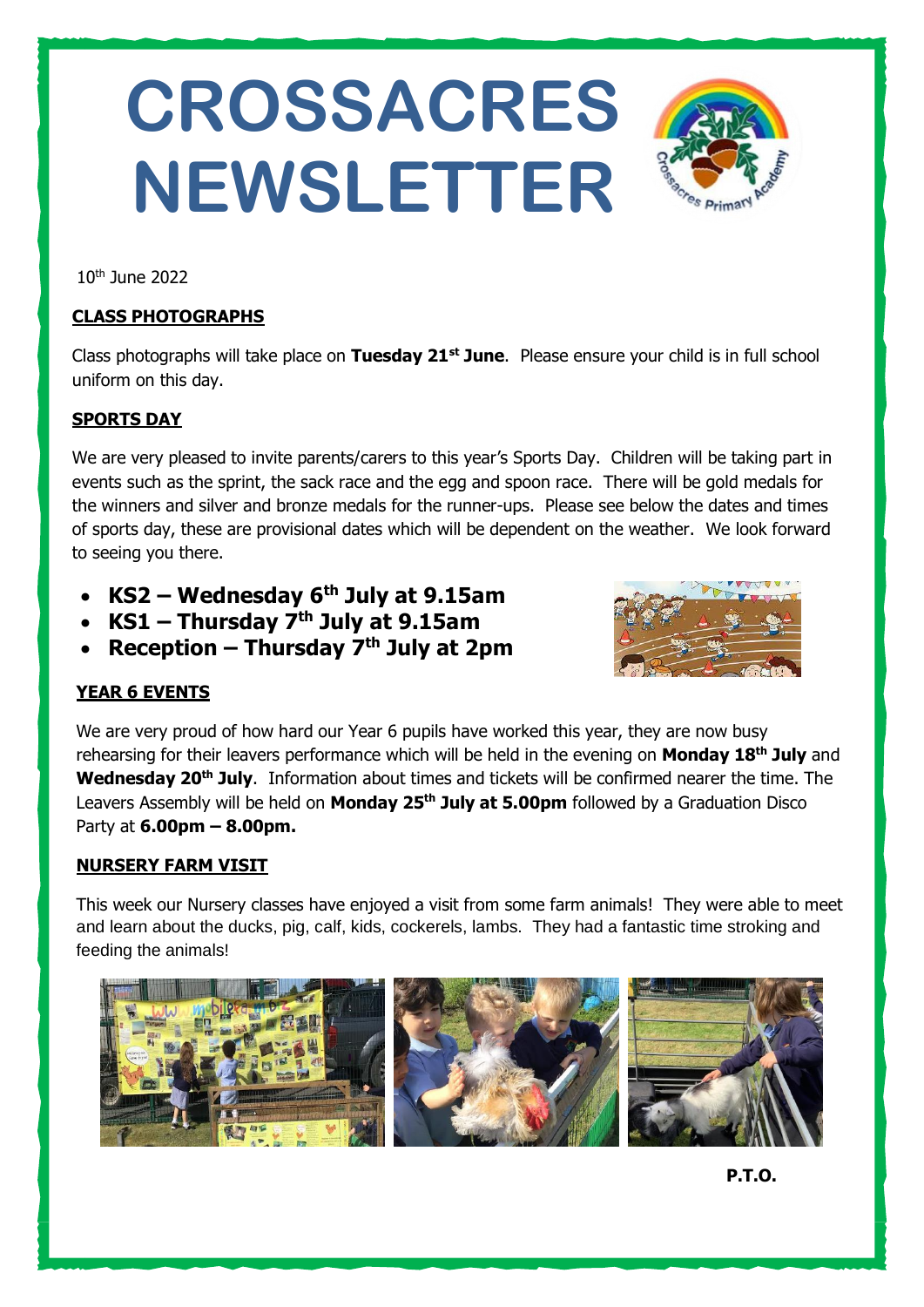# **CROSSACRES NEWSLETTER**

10th June 2022

## **CLASS PHOTOGRAPHS**

Class photographs will take place on **Tuesday 21st June**. Please ensure your child is in full school uniform on this day.

## **SPORTS DAY**

We are very pleased to invite parents/carers to this year's Sports Day. Children will be taking part in events such as the sprint, the sack race and the egg and spoon race. There will be gold medals for the winners and silver and bronze medals for the runner-ups. Please see below the dates and times of sports day, these are provisional dates which will be dependent on the weather. We look forward to seeing you there.

- **KS2 – Wednesday 6th July at 9.15am**
- **KS1 – Thursday 7th July at 9.15am**
- **Reception – Thursday 7th July at 2pm**



## **YEAR 6 EVENTS**

We are very proud of how hard our Year 6 pupils have worked this year, they are now busy rehearsing for their leavers performance which will be held in the evening on **Monday 18th July** and **Wednesday 20th July**. Information about times and tickets will be confirmed nearer the time. The Leavers Assembly will be held on **Monday 25th July at 5.00pm** followed by a Graduation Disco Party at **6.00pm – 8.00pm.** 

## **NURSERY FARM VISIT**

This week our Nursery classes have enjoyed a visit from some farm animals! They were able to meet and learn about the ducks, pig, calf, kids, cockerels, lambs. They had a fantastic time stroking and feeding the animals!



**P.T.O.**